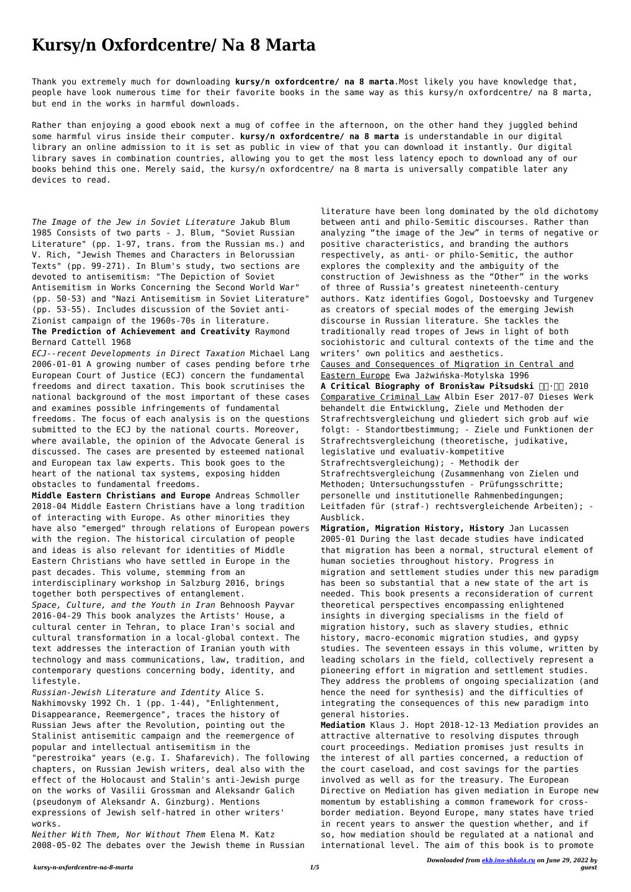## **Kursy/n Oxfordcentre/ Na 8 Marta**

Thank you extremely much for downloading **kursy/n oxfordcentre/ na 8 marta**.Most likely you have knowledge that, people have look numerous time for their favorite books in the same way as this kursy/n oxfordcentre/ na 8 marta, but end in the works in harmful downloads.

Rather than enjoying a good ebook next a mug of coffee in the afternoon, on the other hand they juggled behind some harmful virus inside their computer. **kursy/n oxfordcentre/ na 8 marta** is understandable in our digital library an online admission to it is set as public in view of that you can download it instantly. Our digital library saves in combination countries, allowing you to get the most less latency epoch to download any of our books behind this one. Merely said, the kursy/n oxfordcentre/ na 8 marta is universally compatible later any devices to read.

*The Image of the Jew in Soviet Literature* Jakub Blum 1985 Consists of two parts - J. Blum, "Soviet Russian Literature" (pp. 1-97, trans. from the Russian ms.) and V. Rich, "Jewish Themes and Characters in Belorussian Texts" (pp. 99-271). In Blum's study, two sections are devoted to antisemitism: "The Depiction of Soviet Antisemitism in Works Concerning the Second World War" (pp. 50-53) and "Nazi Antisemitism in Soviet Literature" (pp. 53-55). Includes discussion of the Soviet anti-Zionist campaign of the 1960s-70s in literature.

**The Prediction of Achievement and Creativity** Raymond Bernard Cattell 1968

*ECJ--recent Developments in Direct Taxation* Michael Lang 2006-01-01 A growing number of cases pending before trhe European Court of Justice (ECJ) concern the fundamental freedoms and direct taxation. This book scrutinises the national background of the most important of these cases and examines possible infringements of fundamental freedoms. The focus of each analysis is on the questions submitted to the ECJ by the national courts. Moreover, where available, the opinion of the Advocate General is discussed. The cases are presented by esteemed national and European tax law experts. This book goes to the heart of the national tax systems, exposing hidden obstacles to fundamental freedoms.

**Middle Eastern Christians and Europe** Andreas Schmoller 2018-04 Middle Eastern Christians have a long tradition of interacting with Europe. As other minorities they have also "emerged" through relations of European powers with the region. The historical circulation of people and ideas is also relevant for identities of Middle Eastern Christians who have settled in Europe in the past decades. This volume, stemming from an interdisciplinary workshop in Salzburg 2016, brings together both perspectives of entanglement. *Space, Culture, and the Youth in Iran* Behnoosh Payvar 2016-04-29 This book analyzes the Artists' House, a cultural center in Tehran, to place Iran's social and cultural transformation in a local-global context. The text addresses the interaction of Iranian youth with technology and mass communications, law, tradition, and contemporary questions concerning body, identity, and

lifestyle.

*Russian-Jewish Literature and Identity* Alice S. Nakhimovsky 1992 Ch. 1 (pp. 1-44), "Enlightenment, Disappearance, Reemergence", traces the history of Russian Jews after the Revolution, pointing out the Stalinist antisemitic campaign and the reemergence of popular and intellectual antisemitism in the "perestroika" years (e.g. I. Shafarevich). The following chapters, on Russian Jewish writers, deal also with the effect of the Holocaust and Stalin's anti-Jewish purge on the works of Vasilii Grossman and Aleksandr Galich (pseudonym of Aleksandr A. Ginzburg). Mentions expressions of Jewish self-hatred in other writers' works.

*Neither With Them, Nor Without Them* Elena M. Katz 2008-05-02 The debates over the Jewish theme in Russian literature have been long dominated by the old dichotomy between anti and philo-Semitic discourses. Rather than analyzing "the image of the Jew" in terms of negative or positive characteristics, and branding the authors respectively, as anti- or philo-Semitic, the author explores the complexity and the ambiguity of the construction of Jewishness as the "Other" in the works of three of Russia's greatest nineteenth-century authors. Katz identifies Gogol, Dostoevsky and Turgenev as creators of special modes of the emerging Jewish discourse in Russian literature. She tackles the traditionally read tropes of Jews in light of both sociohistoric and cultural contexts of the time and the writers' own politics and aesthetics. Causes and Consequences of Migration in Central and Eastern Europe Ewa Jażwińska-Motylska 1996 **A Critical Biography of Bronisław Piłsudski □□·□□ 2010** Comparative Criminal Law Albin Eser 2017-07 Dieses Werk behandelt die Entwicklung, Ziele und Methoden der Strafrechtsvergleichung und gliedert sich grob auf wie folgt: - Standortbestimmung; - Ziele und Funktionen der Strafrechtsvergleichung (theoretische, judikative, legislative und evaluativ-kompetitive Strafrechtsvergleichung); - Methodik der Strafrechtsvergleichung (Zusammenhang von Zielen und Methoden; Untersuchungsstufen - Prüfungsschritte; personelle und institutionelle Rahmenbedingungen; Leitfaden für (straf-) rechtsvergleichende Arbeiten); - Ausblick.

**Migration, Migration History, History** Jan Lucassen 2005-01 During the last decade studies have indicated that migration has been a normal, structural element of human societies throughout history. Progress in migration and settlement studies under this new paradigm has been so substantial that a new state of the art is needed. This book presents a reconsideration of current theoretical perspectives encompassing enlightened insights in diverging specialisms in the field of migration history, such as slavery studies, ethnic history, macro-economic migration studies, and gypsy studies. The seventeen essays in this volume, written by leading scholars in the field, collectively represent a pioneering effort in migration and settlement studies.

They address the problems of ongoing specialization (and hence the need for synthesis) and the difficulties of integrating the consequences of this new paradigm into general histories.

**Mediation** Klaus J. Hopt 2018-12-13 Mediation provides an attractive alternative to resolving disputes through court proceedings. Mediation promises just results in the interest of all parties concerned, a reduction of the court caseload, and cost savings for the parties involved as well as for the treasury. The European Directive on Mediation has given mediation in Europe new momentum by establishing a common framework for crossborder mediation. Beyond Europe, many states have tried in recent years to answer the question whether, and if so, how mediation should be regulated at a national and international level. The aim of this book is to promote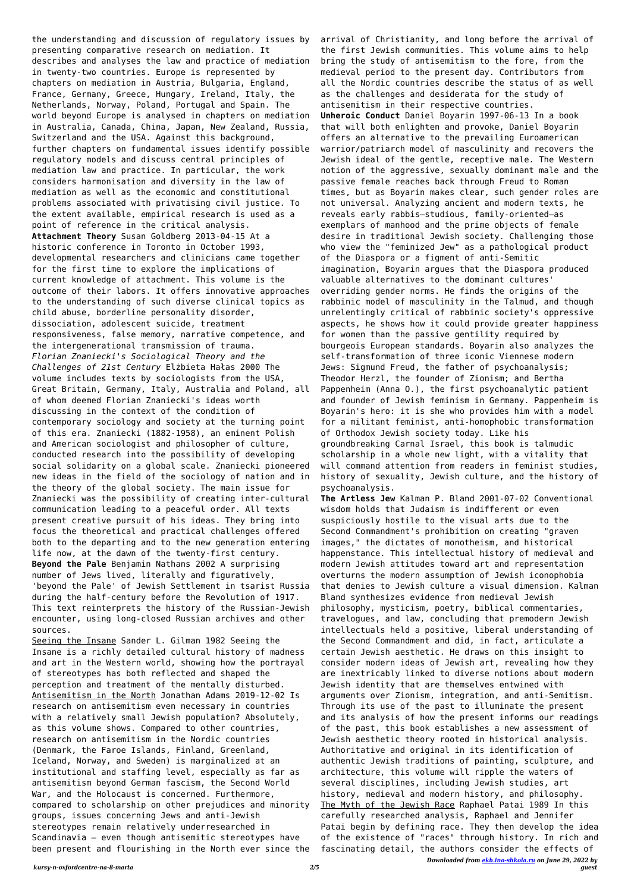the understanding and discussion of regulatory issues by presenting comparative research on mediation. It describes and analyses the law and practice of mediation in twenty-two countries. Europe is represented by chapters on mediation in Austria, Bulgaria, England, France, Germany, Greece, Hungary, Ireland, Italy, the Netherlands, Norway, Poland, Portugal and Spain. The world beyond Europe is analysed in chapters on mediation in Australia, Canada, China, Japan, New Zealand, Russia, Switzerland and the USA. Against this background, further chapters on fundamental issues identify possible regulatory models and discuss central principles of mediation law and practice. In particular, the work considers harmonisation and diversity in the law of mediation as well as the economic and constitutional problems associated with privatising civil justice. To the extent available, empirical research is used as a point of reference in the critical analysis. **Attachment Theory** Susan Goldberg 2013-04-15 At a historic conference in Toronto in October 1993, developmental researchers and clinicians came together for the first time to explore the implications of current knowledge of attachment. This volume is the outcome of their labors. It offers innovative approaches to the understanding of such diverse clinical topics as child abuse, borderline personality disorder, dissociation, adolescent suicide, treatment responsiveness, false memory, narrative competence, and the intergenerational transmission of trauma. *Florian Znaniecki's Sociological Theory and the Challenges of 21st Century* Elżbieta Hałas 2000 The volume includes texts by sociologists from the USA, Great Britain, Germany, Italy, Australia and Poland, all of whom deemed Florian Znaniecki's ideas worth discussing in the context of the condition of contemporary sociology and society at the turning point of this era. Znaniecki (1882-1958), an eminent Polish and American sociologist and philosopher of culture, conducted research into the possibility of developing social solidarity on a global scale. Znaniecki pioneered new ideas in the field of the sociology of nation and in the theory of the global society. The main issue for Znaniecki was the possibility of creating inter-cultural communication leading to a peaceful order. All texts present creative pursuit of his ideas. They bring into focus the theoretical and practical challenges offered both to the departing and to the new generation entering life now, at the dawn of the twenty-first century. **Beyond the Pale** Benjamin Nathans 2002 A surprising number of Jews lived, literally and figuratively, 'beyond the Pale' of Jewish Settlement in tsarist Russia during the half-century before the Revolution of 1917. This text reinterprets the history of the Russian-Jewish encounter, using long-closed Russian archives and other sources.

Seeing the Insane Sander L. Gilman 1982 Seeing the Insane is a richly detailed cultural history of madness and art in the Western world, showing how the portrayal of stereotypes has both reflected and shaped the perception and treatment of the mentally disturbed. Antisemitism in the North Jonathan Adams 2019-12-02 Is research on antisemitism even necessary in countries with a relatively small Jewish population? Absolutely, as this volume shows. Compared to other countries, research on antisemitism in the Nordic countries (Denmark, the Faroe Islands, Finland, Greenland, Iceland, Norway, and Sweden) is marginalized at an institutional and staffing level, especially as far as antisemitism beyond German fascism, the Second World War, and the Holocaust is concerned. Furthermore, compared to scholarship on other prejudices and minority groups, issues concerning Jews and anti-Jewish stereotypes remain relatively underresearched in Scandinavia – even though antisemitic stereotypes have been present and flourishing in the North ever since the

arrival of Christianity, and long before the arrival of the first Jewish communities. This volume aims to help bring the study of antisemitism to the fore, from the medieval period to the present day. Contributors from all the Nordic countries describe the status of as well as the challenges and desiderata for the study of antisemitism in their respective countries. **Unheroic Conduct** Daniel Boyarin 1997-06-13 In a book that will both enlighten and provoke, Daniel Boyarin offers an alternative to the prevailing Euroamerican warrior/patriarch model of masculinity and recovers the Jewish ideal of the gentle, receptive male. The Western notion of the aggressive, sexually dominant male and the passive female reaches back through Freud to Roman times, but as Boyarin makes clear, such gender roles are not universal. Analyzing ancient and modern texts, he reveals early rabbis—studious, family-oriented—as exemplars of manhood and the prime objects of female desire in traditional Jewish society. Challenging those who view the "feminized Jew" as a pathological product of the Diaspora or a figment of anti-Semitic imagination, Boyarin argues that the Diaspora produced valuable alternatives to the dominant cultures' overriding gender norms. He finds the origins of the rabbinic model of masculinity in the Talmud, and though unrelentingly critical of rabbinic society's oppressive aspects, he shows how it could provide greater happiness for women than the passive gentility required by bourgeois European standards. Boyarin also analyzes the self-transformation of three iconic Viennese modern Jews: Sigmund Freud, the father of psychoanalysis; Theodor Herzl, the founder of Zionism; and Bertha Pappenheim (Anna O.), the first psychoanalytic patient and founder of Jewish feminism in Germany. Pappenheim is Boyarin's hero: it is she who provides him with a model for a militant feminist, anti-homophobic transformation of Orthodox Jewish society today. Like his groundbreaking Carnal Israel, this book is talmudic scholarship in a whole new light, with a vitality that will command attention from readers in feminist studies, history of sexuality, Jewish culture, and the history of psychoanalysis.

**The Artless Jew** Kalman P. Bland 2001-07-02 Conventional wisdom holds that Judaism is indifferent or even suspiciously hostile to the visual arts due to the Second Commandment's prohibition on creating "graven images," the dictates of monotheism, and historical happenstance. This intellectual history of medieval and modern Jewish attitudes toward art and representation overturns the modern assumption of Jewish iconophobia that denies to Jewish culture a visual dimension. Kalman Bland synthesizes evidence from medieval Jewish philosophy, mysticism, poetry, biblical commentaries, travelogues, and law, concluding that premodern Jewish intellectuals held a positive, liberal understanding of the Second Commandment and did, in fact, articulate a certain Jewish aesthetic. He draws on this insight to consider modern ideas of Jewish art, revealing how they are inextricably linked to diverse notions about modern Jewish identity that are themselves entwined with arguments over Zionism, integration, and anti-Semitism. Through its use of the past to illuminate the present and its analysis of how the present informs our readings of the past, this book establishes a new assessment of Jewish aesthetic theory rooted in historical analysis. Authoritative and original in its identification of authentic Jewish traditions of painting, sculpture, and architecture, this volume will ripple the waters of several disciplines, including Jewish studies, art history, medieval and modern history, and philosophy. The Myth of the Jewish Race Raphael Patai 1989 In this carefully researched analysis, Raphael and Jennifer Patai begin by defining race. They then develop the idea of the existence of "races" through history. In rich and fascinating detail, the authors consider the effects of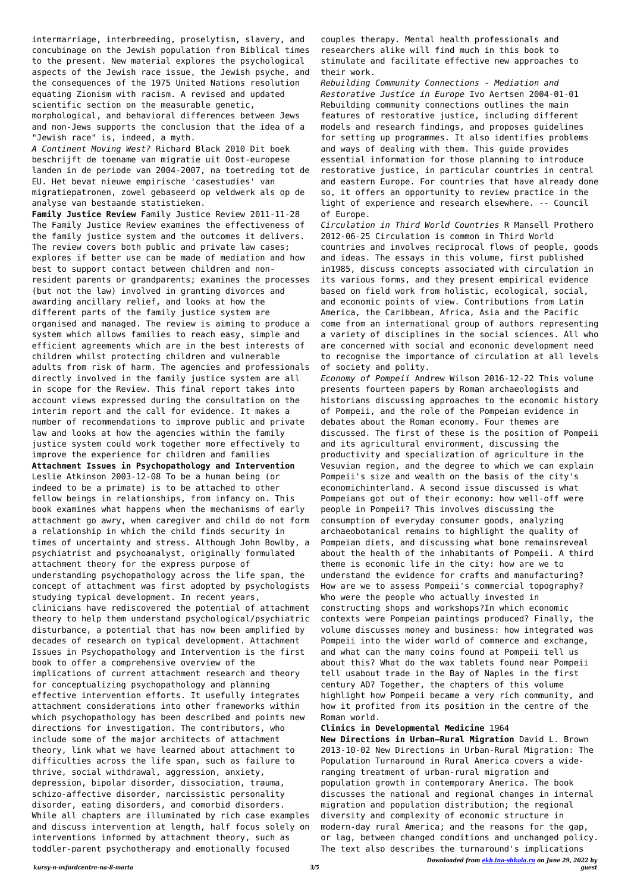*Downloaded from [ekb.ino-shkola.ru](http://ekb.ino-shkola.ru) on June 29, 2022 by guest*

intermarriage, interbreeding, proselytism, slavery, and concubinage on the Jewish population from Biblical times to the present. New material explores the psychological aspects of the Jewish race issue, the Jewish psyche, and the consequences of the 1975 United Nations resolution equating Zionism with racism. A revised and updated scientific section on the measurable genetic, morphological, and behavioral differences between Jews and non-Jews supports the conclusion that the idea of a "Jewish race" is, indeed, a myth.

*A Continent Moving West?* Richard Black 2010 Dit boek beschrijft de toename van migratie uit Oost-europese landen in de periode van 2004-2007, na toetreding tot de EU. Het bevat nieuwe empirische 'casestudies' van migratiepatronen, zowel gebaseerd op veldwerk als op de analyse van bestaande statistieken.

**Family Justice Review** Family Justice Review 2011-11-28 The Family Justice Review examines the effectiveness of the family justice system and the outcomes it delivers. The review covers both public and private law cases; explores if better use can be made of mediation and how best to support contact between children and nonresident parents or grandparents; examines the processes (but not the law) involved in granting divorces and awarding ancillary relief, and looks at how the different parts of the family justice system are organised and managed. The review is aiming to produce a system which allows families to reach easy, simple and efficient agreements which are in the best interests of children whilst protecting children and vulnerable adults from risk of harm. The agencies and professionals directly involved in the family justice system are all in scope for the Review. This final report takes into account views expressed during the consultation on the interim report and the call for evidence. It makes a number of recommendations to improve public and private law and looks at how the agencies within the family justice system could work together more effectively to improve the experience for children and families **Attachment Issues in Psychopathology and Intervention** Leslie Atkinson 2003-12-08 To be a human being (or indeed to be a primate) is to be attached to other fellow beings in relationships, from infancy on. This book examines what happens when the mechanisms of early attachment go awry, when caregiver and child do not form a relationship in which the child finds security in times of uncertainty and stress. Although John Bowlby, a psychiatrist and psychoanalyst, originally formulated attachment theory for the express purpose of understanding psychopathology across the life span, the concept of attachment was first adopted by psychologists studying typical development. In recent years, clinicians have rediscovered the potential of attachment theory to help them understand psychological/psychiatric disturbance, a potential that has now been amplified by decades of research on typical development. Attachment Issues in Psychopathology and Intervention is the first book to offer a comprehensive overview of the implications of current attachment research and theory for conceptualizing psychopathology and planning effective intervention efforts. It usefully integrates attachment considerations into other frameworks within which psychopathology has been described and points new directions for investigation. The contributors, who include some of the major architects of attachment theory, link what we have learned about attachment to difficulties across the life span, such as failure to thrive, social withdrawal, aggression, anxiety, depression, bipolar disorder, dissociation, trauma, schizo-affective disorder, narcissistic personality disorder, eating disorders, and comorbid disorders. While all chapters are illuminated by rich case examples and discuss intervention at length, half focus solely on interventions informed by attachment theory, such as toddler-parent psychotherapy and emotionally focused

couples therapy. Mental health professionals and researchers alike will find much in this book to stimulate and facilitate effective new approaches to their work.

*Rebuilding Community Connections - Mediation and Restorative Justice in Europe* Ivo Aertsen 2004-01-01 Rebuilding community connections outlines the main features of restorative justice, including different models and research findings, and proposes guidelines for setting up programmes. It also identifies problems and ways of dealing with them. This guide provides essential information for those planning to introduce restorative justice, in particular countries in central and eastern Europe. For countries that have already done so, it offers an opportunity to review practice in the light of experience and research elsewhere. -- Council of Europe.

*Circulation in Third World Countries* R Mansell Prothero 2012-06-25 Circulation is common in Third World countries and involves reciprocal flows of people, goods and ideas. The essays in this volume, first published in1985, discuss concepts associated with circulation in its various forms, and they present empirical evidence based on field work from holistic, ecological, social, and economic points of view. Contributions from Latin America, the Caribbean, Africa, Asia and the Pacific come from an international group of authors representing a variety of disciplines in the social sciences. All who are concerned with social and economic development need to recognise the importance of circulation at all levels of society and polity.

*Economy of Pompeii* Andrew Wilson 2016-12-22 This volume presents fourteen papers by Roman archaeologists and historians discussing approaches to the economic history of Pompeii, and the role of the Pompeian evidence in debates about the Roman economy. Four themes are discussed. The first of these is the position of Pompeii and its agricultural environment, discussing the productivity and specialization of agriculture in the Vesuvian region, and the degree to which we can explain Pompeii's size and wealth on the basis of the city's economichinterland. A second issue discussed is what Pompeians got out of their economy: how well-off were people in Pompeii? This involves discussing the consumption of everyday consumer goods, analyzing archaeobotanical remains to highlight the quality of Pompeian diets, and discussing what bone remainsreveal about the health of the inhabitants of Pompeii. A third theme is economic life in the city: how are we to understand the evidence for crafts and manufacturing? How are we to assess Pompeii's commercial topography? Who were the people who actually invested in constructing shops and workshops?In which economic contexts were Pompeian paintings produced? Finally, the volume discusses money and business: how integrated was Pompeii into the wider world of commerce and exchange, and what can the many coins found at Pompeii tell us about this? What do the wax tablets found near Pompeii tell usabout trade in the Bay of Naples in the first century AD? Together, the chapters of this volume highlight how Pompeii became a very rich community, and how it profited from its position in the centre of the Roman world.

## **Clinics in Developmental Medicine** 1964

**New Directions in Urban–Rural Migration** David L. Brown 2013-10-02 New Directions in Urban-Rural Migration: The Population Turnaround in Rural America covers a wideranging treatment of urban-rural migration and population growth in contemporary America. The book discusses the national and regional changes in internal migration and population distribution; the regional diversity and complexity of economic structure in modern-day rural America; and the reasons for the gap, or lag, between changed conditions and unchanged policy. The text also describes the turnaround's implications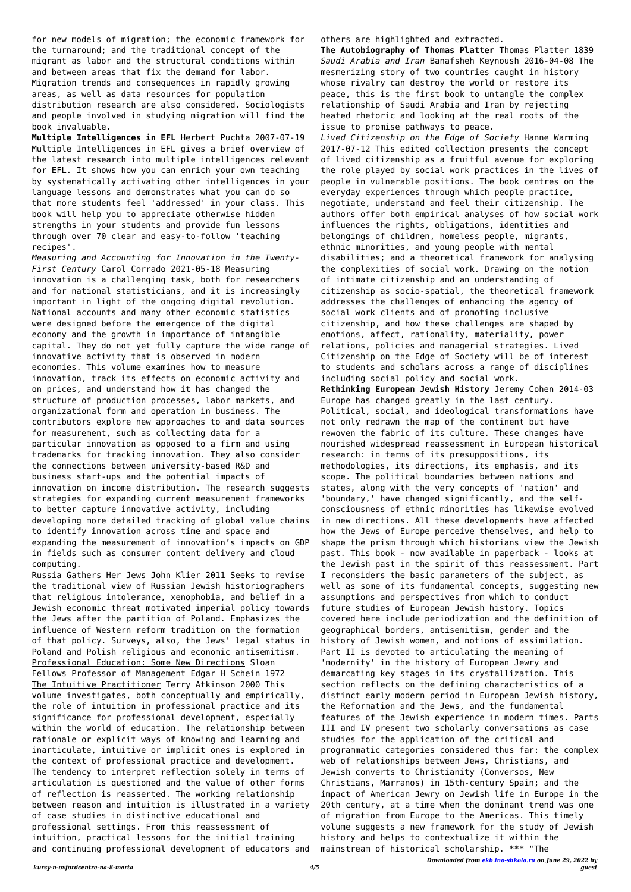for new models of migration; the economic framework for the turnaround; and the traditional concept of the migrant as labor and the structural conditions within and between areas that fix the demand for labor. Migration trends and consequences in rapidly growing areas, as well as data resources for population distribution research are also considered. Sociologists and people involved in studying migration will find the book invaluable.

**Multiple Intelligences in EFL** Herbert Puchta 2007-07-19 Multiple Intelligences in EFL gives a brief overview of the latest research into multiple intelligences relevant for EFL. It shows how you can enrich your own teaching by systematically activating other intelligences in your language lessons and demonstrates what you can do so that more students feel 'addressed' in your class. This book will help you to appreciate otherwise hidden strengths in your students and provide fun lessons through over 70 clear and easy-to-follow 'teaching recipes'.

*Measuring and Accounting for Innovation in the Twenty-First Century* Carol Corrado 2021-05-18 Measuring innovation is a challenging task, both for researchers and for national statisticians, and it is increasingly important in light of the ongoing digital revolution. National accounts and many other economic statistics were designed before the emergence of the digital economy and the growth in importance of intangible capital. They do not yet fully capture the wide range of innovative activity that is observed in modern economies. This volume examines how to measure innovation, track its effects on economic activity and on prices, and understand how it has changed the structure of production processes, labor markets, and organizational form and operation in business. The contributors explore new approaches to and data sources for measurement, such as collecting data for a particular innovation as opposed to a firm and using trademarks for tracking innovation. They also consider the connections between university-based R&D and business start-ups and the potential impacts of innovation on income distribution. The research suggests strategies for expanding current measurement frameworks to better capture innovative activity, including developing more detailed tracking of global value chains to identify innovation across time and space and expanding the measurement of innovation's impacts on GDP in fields such as consumer content delivery and cloud computing.

Russia Gathers Her Jews John Klier 2011 Seeks to revise the traditional view of Russian Jewish historiographers that religious intolerance, xenophobia, and belief in a Jewish economic threat motivated imperial policy towards the Jews after the partition of Poland. Emphasizes the influence of Western reform tradition on the formation of that policy. Surveys, also, the Jews' legal status in Poland and Polish religious and economic antisemitism. Professional Education: Some New Directions Sloan Fellows Professor of Management Edgar H Schein 1972 The Intuitive Practitioner Terry Atkinson 2000 This volume investigates, both conceptually and empirically, the role of intuition in professional practice and its significance for professional development, especially within the world of education. The relationship between rationale or explicit ways of knowing and learning and inarticulate, intuitive or implicit ones is explored in the context of professional practice and development. The tendency to interpret reflection solely in terms of articulation is questioned and the value of other forms of reflection is reasserted. The working relationship between reason and intuition is illustrated in a variety of case studies in distinctive educational and professional settings. From this reassessment of intuition, practical lessons for the initial training and continuing professional development of educators and others are highlighted and extracted.

**The Autobiography of Thomas Platter** Thomas Platter 1839 *Saudi Arabia and Iran* Banafsheh Keynoush 2016-04-08 The mesmerizing story of two countries caught in history whose rivalry can destroy the world or restore its peace, this is the first book to untangle the complex relationship of Saudi Arabia and Iran by rejecting heated rhetoric and looking at the real roots of the issue to promise pathways to peace.

*Lived Citizenship on the Edge of Society* Hanne Warming 2017-07-12 This edited collection presents the concept of lived citizenship as a fruitful avenue for exploring the role played by social work practices in the lives of people in vulnerable positions. The book centres on the everyday experiences through which people practice, negotiate, understand and feel their citizenship. The authors offer both empirical analyses of how social work influences the rights, obligations, identities and belongings of children, homeless people, migrants, ethnic minorities, and young people with mental disabilities; and a theoretical framework for analysing the complexities of social work. Drawing on the notion of intimate citizenship and an understanding of citizenship as socio-spatial, the theoretical framework addresses the challenges of enhancing the agency of social work clients and of promoting inclusive citizenship, and how these challenges are shaped by emotions, affect, rationality, materiality, power relations, policies and managerial strategies. Lived Citizenship on the Edge of Society will be of interest to students and scholars across a range of disciplines including social policy and social work. **Rethinking European Jewish History** Jeremy Cohen 2014-03 Europe has changed greatly in the last century. Political, social, and ideological transformations have not only redrawn the map of the continent but have rewoven the fabric of its culture. These changes have nourished widespread reassessment in European historical research: in terms of its presuppositions, its methodologies, its directions, its emphasis, and its scope. The political boundaries between nations and states, along with the very concepts of 'nation' and 'boundary,' have changed significantly, and the selfconsciousness of ethnic minorities has likewise evolved in new directions. All these developments have affected how the Jews of Europe perceive themselves, and help to shape the prism through which historians view the Jewish past. This book - now available in paperback - looks at the Jewish past in the spirit of this reassessment. Part I reconsiders the basic parameters of the subject, as well as some of its fundamental concepts, suggesting new assumptions and perspectives from which to conduct future studies of European Jewish history. Topics covered here include periodization and the definition of geographical borders, antisemitism, gender and the history of Jewish women, and notions of assimilation. Part II is devoted to articulating the meaning of 'modernity' in the history of European Jewry and demarcating key stages in its crystallization. This section reflects on the defining characteristics of a distinct early modern period in European Jewish history, the Reformation and the Jews, and the fundamental features of the Jewish experience in modern times. Parts III and IV present two scholarly conversations as case studies for the application of the critical and programmatic categories considered thus far: the complex web of relationships between Jews, Christians, and Jewish converts to Christianity (Conversos, New Christians, Marranos) in 15th-century Spain; and the impact of American Jewry on Jewish life in Europe in the 20th century, at a time when the dominant trend was one of migration from Europe to the Americas. This timely volume suggests a new framework for the study of Jewish history and helps to contextualize it within the mainstream of historical scholarship. \*\*\* "The